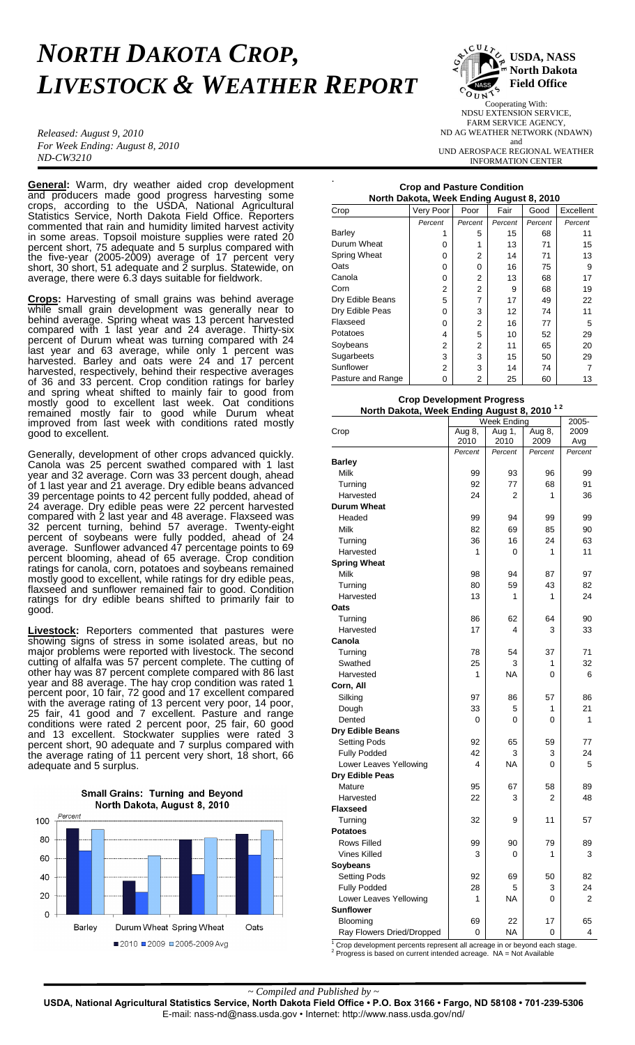# *NORTH DAKOTA CROP, LIVESTOCK & WEATHER REPORT*

.

*Released: August 9, 2010 For Week Ending: August 8, 2010 ND-CW3210*

**General:** Warm, dry weather aided crop development and producers made good progress harvesting some crops, according to the USDA, National Agricultural Statistics Service, North Dakota Field Office. Reporters commented that rain and humidity limited harvest activity in some areas. Topsoil moisture supplies were rated 20 percent short, 75 adequate and 5 surplus compared with the five-year (2005-2009) average of 17 percent very short, 30 short, 51 adequate and 2 surplus. Statewide, on average, there were 6.3 days suitable for fieldwork.

**Crops:** Harvesting of small grains was behind average while small grain development was generally near to behind average. Spring wheat was 13 percent harvested compared with 1 last year and 24 average. Thirty-six percent of Durum wheat was turning compared with 24 last year and 63 average, while only 1 percent was harvested. Barley and oats were 24 and 17 percent harvested, respectively, behind their respective averages of 36 and 33 percent. Crop condition ratings for barley and spring wheat shifted to mainly fair to good from mostly good to excellent last week. Oat conditions remained mostly fair to good while Durum wheat improved from last week with conditions rated mostly good to excellent.

Generally, development of other crops advanced quickly. Canola was 25 percent swathed compared with 1 last year and 32 average. Corn was 33 percent dough, ahead of 1 last year and 21 average. Dry edible beans advanced 39 percentage points to 42 percent fully podded, ahead of 24 average. Dry edible peas were 22 percent harvested compared with 2 last year and 48 average. Flaxseed was 32 percent turning, behind 57 average. Twenty-eight percent of soybeans were fully podded, ahead of 24 average. Sunflower advanced 47 percentage points to 69 percent blooming, ahead of 65 average. Crop condition ratings for canola, corn, potatoes and soybeans remained mostly good to excellent, while ratings for dry edible peas, flaxseed and sunflower remained fair to good. Condition ratings for dry edible beans shifted to primarily fair to good.

**Livestock:** Reporters commented that pastures were showing signs of stress in some isolated areas, but no major problems were reported with livestock. The second cutting of alfalfa was 57 percent complete. The cutting of other hay was 87 percent complete compared with 86 last year and 88 average. The hay crop condition was rated 1 percent poor, 10 fair, 72 good and 17 excellent compared with the average rating of 13 percent very poor, 14 poor, 25 fair, 41 good and 7 excellent. Pasture and range conditions were rated 2 percent poor, 25 fair, 60 good and 13 excellent. Stockwater supplies were rated 3 percent short, 90 adequate and 7 surplus compared with the average rating of 11 percent very short, 18 short, 66 adequate and 5 surplus.





Cooperating With: NDSU EXTENSION SERVICE, FARM SERVICE AGENCY, ND AG WEATHER NETWORK (NDAWN) and UND AEROSPACE REGIONAL WEATHER INFORMATION CENTER

# **Crop and Pasture Condition North Dakota, Week Ending August 8, 2010**

| Crop                | Very Poor | Poor    | Fair    | Good    | Excellent |
|---------------------|-----------|---------|---------|---------|-----------|
|                     | Percent   | Percent | Percent | Percent | Percent   |
| Barley              | 1         | 5       | 15      | 68      | 11        |
| Durum Wheat         | 0         | 1       | 13      | 71      | 15        |
| <b>Spring Wheat</b> | 0         | 2       | 14      | 71      | 13        |
| Oats                | 0         | 0       | 16      | 75      | 9         |
| Canola              | 0         | 2       | 13      | 68      | 17        |
| Corn                | 2         | 2       | 9       | 68      | 19        |
| Dry Edible Beans    | 5         | 7       | 17      | 49      | 22        |
| Dry Edible Peas     | 0         | 3       | 12      | 74      | 11        |
| Flaxseed            | 0         | 2       | 16      | 77      | 5         |
| Potatoes            | 4         | 5       | 10      | 52      | 29        |
| Soybeans            | 2         | 2       | 11      | 65      | 20        |
| Sugarbeets          | 3         | 3       | 15      | 50      | 29        |
| Sunflower           | 2         | 3       | 14      | 74      |           |
| Pasture and Range   | 0         | 2       | 25      | 60      | 13        |

### **Crop Development Progress North Dakota, Week Ending August 8, 2010 1 2**

|                                                                                       | Week Ending |                |          | 2005-   |  |
|---------------------------------------------------------------------------------------|-------------|----------------|----------|---------|--|
| Crop                                                                                  | Aug $8,$    | Aug 1,         | Aug 8,   | 2009    |  |
|                                                                                       | 2010        | 2010           | 2009     | Avg     |  |
|                                                                                       | Percent     | Percent        | Percent  | Percent |  |
| <b>Barley</b>                                                                         |             |                |          |         |  |
| Milk                                                                                  | 99          | 93             | 96       | 99      |  |
| Turning                                                                               | 92          | 77             | 68       | 91      |  |
| Harvested                                                                             | 24          | $\overline{2}$ | 1        | 36      |  |
| <b>Durum Wheat</b>                                                                    |             |                |          |         |  |
| Headed                                                                                | 99          | 94             | 99       | 99      |  |
| Milk                                                                                  | 82          | 69             | 85       | 90      |  |
| Turning                                                                               | 36          | 16             | 24       | 63      |  |
| Harvested                                                                             | 1           | 0              | 1        | 11      |  |
| <b>Spring Wheat</b>                                                                   |             |                |          |         |  |
| Milk                                                                                  | 98          | 94             | 87       | 97      |  |
| Turning                                                                               | 80          | 59             | 43       | 82      |  |
| Harvested                                                                             | 13          | 1              | 1        | 24      |  |
| Oats                                                                                  |             |                |          |         |  |
| Turning                                                                               | 86          | 62             | 64       | 90      |  |
| Harvested                                                                             | 17          | 4              | 3        | 33      |  |
| Canola                                                                                |             |                |          |         |  |
| Turning                                                                               | 78          | 54             | 37       | 71      |  |
| Swathed                                                                               | 25          | 3              | 1        | 32      |  |
| Harvested                                                                             | 1           | <b>NA</b>      | 0        | 6       |  |
| Corn, All                                                                             |             |                |          |         |  |
| Silking                                                                               | 97          | 86             | 57       | 86      |  |
| Dough                                                                                 | 33          | 5              | 1        | 21      |  |
| Dented                                                                                | 0           | 0              | 0        | 1       |  |
| Dry Edible Beans                                                                      |             |                |          |         |  |
| <b>Setting Pods</b>                                                                   | 92          | 65             | 59       | 77      |  |
| <b>Fully Podded</b>                                                                   | 42          | 3              | 3        | 24      |  |
| Lower Leaves Yellowing                                                                | 4           | <b>NA</b>      | 0        | 5       |  |
| Dry Edible Peas                                                                       |             |                |          |         |  |
| Mature                                                                                | 95          | 67             | 58       | 89      |  |
| Harvested                                                                             | 22          | 3              | 2        | 48      |  |
| <b>Flaxseed</b>                                                                       |             |                |          |         |  |
| Turning                                                                               | 32          | 9              | 11       | 57      |  |
| <b>Potatoes</b>                                                                       |             |                |          |         |  |
| <b>Rows Filled</b>                                                                    | 99          | 90             | 79       | 89      |  |
| <b>Vines Killed</b>                                                                   | 3           | 0              | 1        | 3       |  |
| Soybeans                                                                              |             |                |          |         |  |
| Setting Pods                                                                          | 92          | 69             | 50       | 82      |  |
| <b>Fully Podded</b>                                                                   | 28          | 5              | 3        | 24      |  |
| Lower Leaves Yellowing                                                                | 1           | <b>NA</b>      | $\Omega$ | 2       |  |
| <b>Sunflower</b>                                                                      |             |                |          |         |  |
| Blooming                                                                              | 69          | 22             | 17       | 65      |  |
| Ray Flowers Dried/Dropped                                                             | 0           | <b>NA</b>      | 0        | 4       |  |
| $\frac{1}{1}$ Crop development personte represent all persons in or beyond each stage |             |                |          |         |  |

 $1$  Crop development percents represent all acreage in or beyond each stage.  $2$  Progress is based on current intended acreage. NA = Not Available

*~ Compiled and Published by ~*

**USDA, National Agricultural Statistics Service, North Dakota Field Office • P.O. Box 3166 • Fargo, ND 58108 • 701-239-5306** E-mail: nass-nd@nass.usda.gov • Internet: http://www.nass.usda.gov/nd/